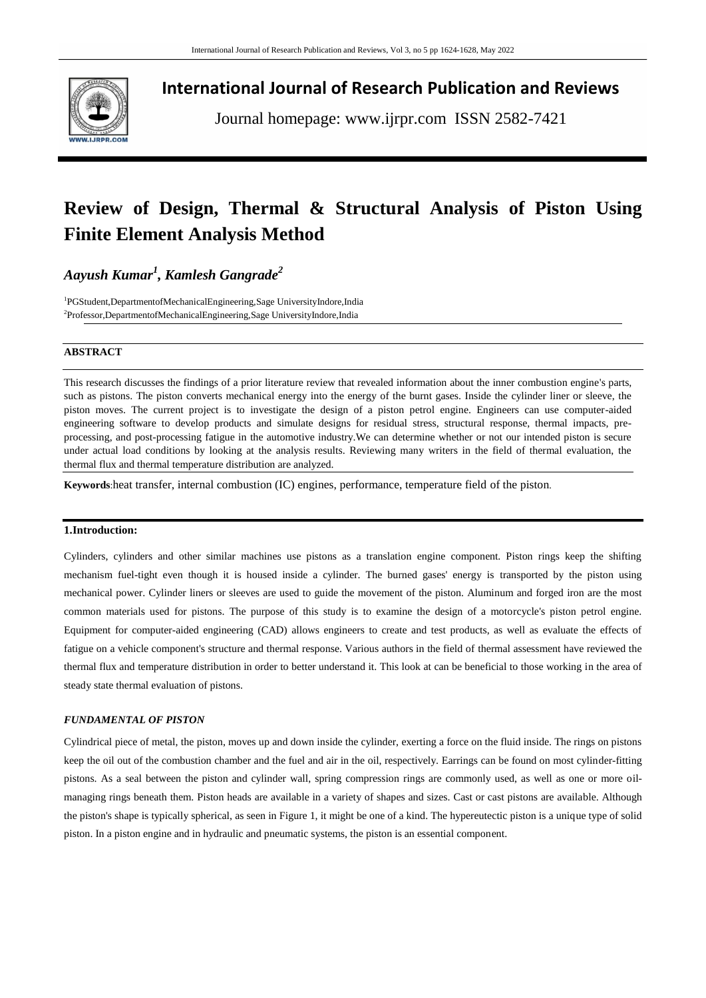

**International Journal of Research Publication and Reviews**

Journal homepage: www.ijrpr.com ISSN 2582-7421

# **Review of Design, Thermal & Structural Analysis of Piston Using Finite Element Analysis Method**

## *Aayush Kumar<sup>1</sup> , Kamlesh Gangrade<sup>2</sup>*

1 PGStudent,DepartmentofMechanicalEngineering,Sage UniversityIndore,India <sup>2</sup>Professor,DepartmentofMechanicalEngineering,Sage UniversityIndore,India

#### **ABSTRACT**

This research discusses the findings of a prior literature review that revealed information about the inner combustion engine's parts, such as pistons. The piston converts mechanical energy into the energy of the burnt gases. Inside the cylinder liner or sleeve, the piston moves. The current project is to investigate the design of a piston petrol engine. Engineers can use computer-aided engineering software to develop products and simulate designs for residual stress, structural response, thermal impacts, preprocessing, and post-processing fatigue in the automotive industry.We can determine whether or not our intended piston is secure under actual load conditions by looking at the analysis results. Reviewing many writers in the field of thermal evaluation, the thermal flux and thermal temperature distribution are analyzed.

**Keywords**:heat transfer, internal combustion (IC) engines, performance, temperature field of the piston.

### **1.Introduction:**

Cylinders, cylinders and other similar machines use pistons as a translation engine component. Piston rings keep the shifting mechanism fuel-tight even though it is housed inside a cylinder. The burned gases' energy is transported by the piston using mechanical power. Cylinder liners or sleeves are used to guide the movement of the piston. Aluminum and forged iron are the most common materials used for pistons. The purpose of this study is to examine the design of a motorcycle's piston petrol engine. Equipment for computer-aided engineering (CAD) allows engineers to create and test products, as well as evaluate the effects of fatigue on a vehicle component's structure and thermal response. Various authors in the field of thermal assessment have reviewed the thermal flux and temperature distribution in order to better understand it. This look at can be beneficial to those working in the area of steady state thermal evaluation of pistons.

#### *FUNDAMENTAL OF PISTON*

Cylindrical piece of metal, the piston, moves up and down inside the cylinder, exerting a force on the fluid inside. The rings on pistons keep the oil out of the combustion chamber and the fuel and air in the oil, respectively. Earrings can be found on most cylinder-fitting pistons. As a seal between the piston and cylinder wall, spring compression rings are commonly used, as well as one or more oilmanaging rings beneath them. Piston heads are available in a variety of shapes and sizes. Cast or cast pistons are available. Although the piston's shape is typically spherical, as seen in Figure 1, it might be one of a kind. The hypereutectic piston is a unique type of solid piston. In a piston engine and in hydraulic and pneumatic systems, the piston is an essential component.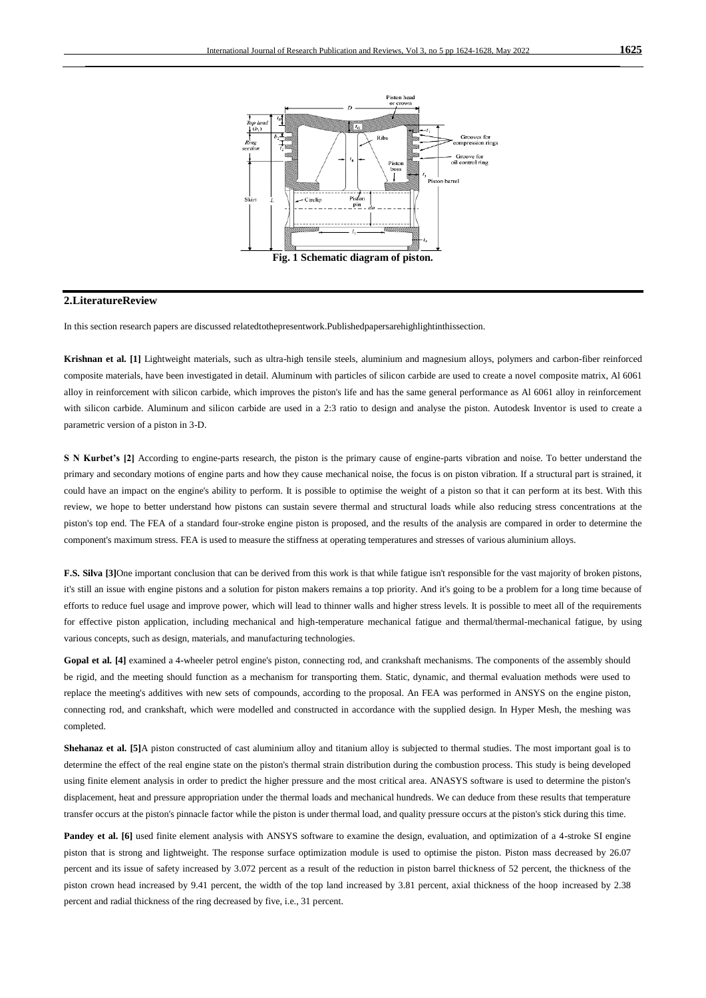

#### **2.LiteratureReview**

In this section research papers are discussed relatedtothepresentwork.Publishedpapersarehighlightinthissection.

**Krishnan et al. [1]** Lightweight materials, such as ultra-high tensile steels, aluminium and magnesium alloys, polymers and carbon-fiber reinforced composite materials, have been investigated in detail. Aluminum with particles of silicon carbide are used to create a novel composite matrix, Al 6061 alloy in reinforcement with silicon carbide, which improves the piston's life and has the same general performance as Al 6061 alloy in reinforcement with silicon carbide. Aluminum and silicon carbide are used in a 2:3 ratio to design and analyse the piston. Autodesk Inventor is used to create a parametric version of a piston in 3-D.

**S N Kurbet's [2]** According to engine-parts research, the piston is the primary cause of engine-parts vibration and noise. To better understand the primary and secondary motions of engine parts and how they cause mechanical noise, the focus is on piston vibration. If a structural part is strained, it could have an impact on the engine's ability to perform. It is possible to optimise the weight of a piston so that it can perform at its best. With this review, we hope to better understand how pistons can sustain severe thermal and structural loads while also reducing stress concentrations at the piston's top end. The FEA of a standard four-stroke engine piston is proposed, and the results of the analysis are compared in order to determine the component's maximum stress. FEA is used to measure the stiffness at operating temperatures and stresses of various aluminium alloys.

**F.S. Silva [3]**One important conclusion that can be derived from this work is that while fatigue isn't responsible for the vast majority of broken pistons, it's still an issue with engine pistons and a solution for piston makers remains a top priority. And it's going to be a problem for a long time because of efforts to reduce fuel usage and improve power, which will lead to thinner walls and higher stress levels. It is possible to meet all of the requirements for effective piston application, including mechanical and high-temperature mechanical fatigue and thermal/thermal-mechanical fatigue, by using various concepts, such as design, materials, and manufacturing technologies.

**Gopal et al. [4]** examined a 4-wheeler petrol engine's piston, connecting rod, and crankshaft mechanisms. The components of the assembly should be rigid, and the meeting should function as a mechanism for transporting them. Static, dynamic, and thermal evaluation methods were used to replace the meeting's additives with new sets of compounds, according to the proposal. An FEA was performed in ANSYS on the engine piston, connecting rod, and crankshaft, which were modelled and constructed in accordance with the supplied design. In Hyper Mesh, the meshing was completed.

**Shehanaz et al. [5]**A piston constructed of cast aluminium alloy and titanium alloy is subjected to thermal studies. The most important goal is to determine the effect of the real engine state on the piston's thermal strain distribution during the combustion process. This study is being developed using finite element analysis in order to predict the higher pressure and the most critical area. ANASYS software is used to determine the piston's displacement, heat and pressure appropriation under the thermal loads and mechanical hundreds. We can deduce from these results that temperature transfer occurs at the piston's pinnacle factor while the piston is under thermal load, and quality pressure occurs at the piston's stick during this time.

Pandey et al. [6] used finite element analysis with ANSYS software to examine the design, evaluation, and optimization of a 4-stroke SI engine piston that is strong and lightweight. The response surface optimization module is used to optimise the piston. Piston mass decreased by 26.07 percent and its issue of safety increased by 3.072 percent as a result of the reduction in piston barrel thickness of 52 percent, the thickness of the piston crown head increased by 9.41 percent, the width of the top land increased by 3.81 percent, axial thickness of the hoop increased by 2.38 percent and radial thickness of the ring decreased by five, i.e., 31 percent.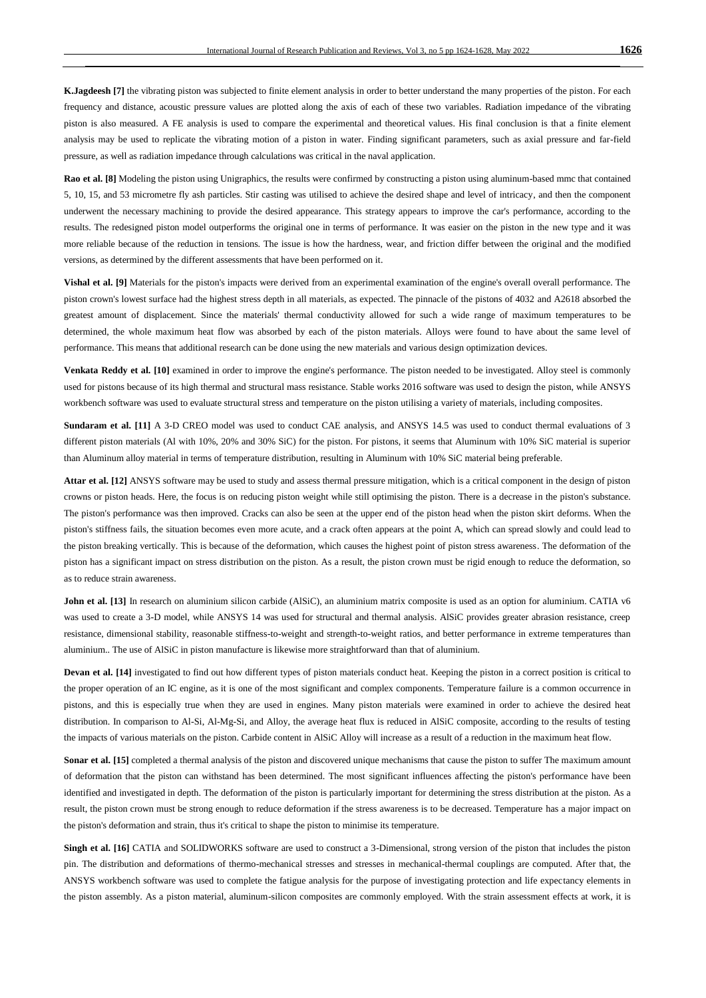K.Jagdeesh [7] the vibrating piston was subjected to finite element analysis in order to better understand the many properties of the piston. For each frequency and distance, acoustic pressure values are plotted along the axis of each of these two variables. Radiation impedance of the vibrating piston is also measured. A FE analysis is used to compare the experimental and theoretical values. His final conclusion is that a finite element analysis may be used to replicate the vibrating motion of a piston in water. Finding significant parameters, such as axial pressure and far-field pressure, as well as radiation impedance through calculations was critical in the naval application.

**Rao et al. [8]** Modeling the piston using Unigraphics, the results were confirmed by constructing a piston using aluminum-based mmc that contained 5, 10, 15, and 53 micrometre fly ash particles. Stir casting was utilised to achieve the desired shape and level of intricacy, and then the component underwent the necessary machining to provide the desired appearance. This strategy appears to improve the car's performance, according to the results. The redesigned piston model outperforms the original one in terms of performance. It was easier on the piston in the new type and it was more reliable because of the reduction in tensions. The issue is how the hardness, wear, and friction differ between the original and the modified versions, as determined by the different assessments that have been performed on it.

**Vishal et al. [9]** Materials for the piston's impacts were derived from an experimental examination of the engine's overall overall performance. The piston crown's lowest surface had the highest stress depth in all materials, as expected. The pinnacle of the pistons of 4032 and A2618 absorbed the greatest amount of displacement. Since the materials' thermal conductivity allowed for such a wide range of maximum temperatures to be determined, the whole maximum heat flow was absorbed by each of the piston materials. Alloys were found to have about the same level of performance. This means that additional research can be done using the new materials and various design optimization devices.

**Venkata Reddy et al. [10]** examined in order to improve the engine's performance. The piston needed to be investigated. Alloy steel is commonly used for pistons because of its high thermal and structural mass resistance. Stable works 2016 software was used to design the piston, while ANSYS workbench software was used to evaluate structural stress and temperature on the piston utilising a variety of materials, including composites.

**Sundaram et al. [11]** A 3-D CREO model was used to conduct CAE analysis, and ANSYS 14.5 was used to conduct thermal evaluations of 3 different piston materials (Al with 10%, 20% and 30% SiC) for the piston. For pistons, it seems that Aluminum with 10% SiC material is superior than Aluminum alloy material in terms of temperature distribution, resulting in Aluminum with 10% SiC material being preferable.

**Attar et al. [12]** ANSYS software may be used to study and assess thermal pressure mitigation, which is a critical component in the design of piston crowns or piston heads. Here, the focus is on reducing piston weight while still optimising the piston. There is a decrease in the piston's substance. The piston's performance was then improved. Cracks can also be seen at the upper end of the piston head when the piston skirt deforms. When the piston's stiffness fails, the situation becomes even more acute, and a crack often appears at the point A, which can spread slowly and could lead to the piston breaking vertically. This is because of the deformation, which causes the highest point of piston stress awareness. The deformation of the piston has a significant impact on stress distribution on the piston. As a result, the piston crown must be rigid enough to reduce the deformation, so as to reduce strain awareness.

**John et al. [13]** In research on aluminium silicon carbide (AlSiC), an aluminium matrix composite is used as an option for aluminium. CATIA v6 was used to create a 3-D model, while ANSYS 14 was used for structural and thermal analysis. AlSiC provides greater abrasion resistance, creep resistance, dimensional stability, reasonable stiffness-to-weight and strength-to-weight ratios, and better performance in extreme temperatures than aluminium.. The use of AlSiC in piston manufacture is likewise more straightforward than that of aluminium.

**Devan et al. [14]** investigated to find out how different types of piston materials conduct heat. Keeping the piston in a correct position is critical to the proper operation of an IC engine, as it is one of the most significant and complex components. Temperature failure is a common occurrence in pistons, and this is especially true when they are used in engines. Many piston materials were examined in order to achieve the desired heat distribution. In comparison to Al-Si, Al-Mg-Si, and Alloy, the average heat flux is reduced in AlSiC composite, according to the results of testing the impacts of various materials on the piston. Carbide content in AlSiC Alloy will increase as a result of a reduction in the maximum heat flow.

**Sonar et al. [15]** completed a thermal analysis of the piston and discovered unique mechanisms that cause the piston to suffer The maximum amount of deformation that the piston can withstand has been determined. The most significant influences affecting the piston's performance have been identified and investigated in depth. The deformation of the piston is particularly important for determining the stress distribution at the piston. As a result, the piston crown must be strong enough to reduce deformation if the stress awareness is to be decreased. Temperature has a major impact on the piston's deformation and strain, thus it's critical to shape the piston to minimise its temperature.

Singh et al. [16] CATIA and SOLIDWORKS software are used to construct a 3-Dimensional, strong version of the piston that includes the piston pin. The distribution and deformations of thermo-mechanical stresses and stresses in mechanical-thermal couplings are computed. After that, the ANSYS workbench software was used to complete the fatigue analysis for the purpose of investigating protection and life expectancy elements in the piston assembly. As a piston material, aluminum-silicon composites are commonly employed. With the strain assessment effects at work, it is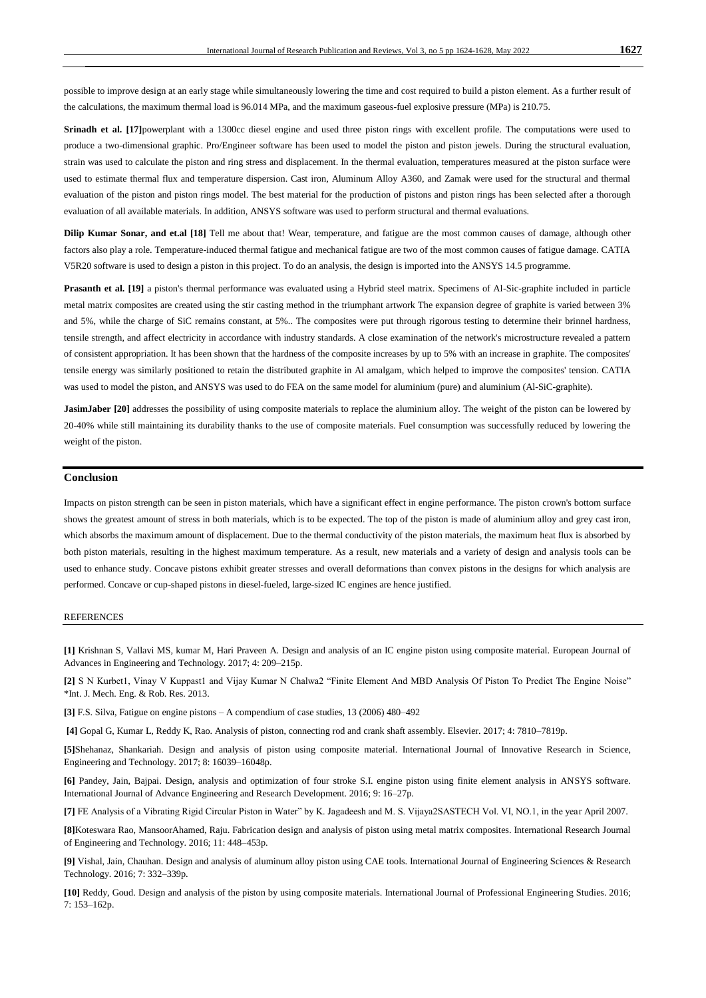possible to improve design at an early stage while simultaneously lowering the time and cost required to build a piston element. As a further result of the calculations, the maximum thermal load is 96.014 MPa, and the maximum gaseous-fuel explosive pressure (MPa) is 210.75.

**Srinadh et al. [17]**powerplant with a 1300cc diesel engine and used three piston rings with excellent profile. The computations were used to produce a two-dimensional graphic. Pro/Engineer software has been used to model the piston and piston jewels. During the structural evaluation, strain was used to calculate the piston and ring stress and displacement. In the thermal evaluation, temperatures measured at the piston surface were used to estimate thermal flux and temperature dispersion. Cast iron, Aluminum Alloy A360, and Zamak were used for the structural and thermal evaluation of the piston and piston rings model. The best material for the production of pistons and piston rings has been selected after a thorough evaluation of all available materials. In addition, ANSYS software was used to perform structural and thermal evaluations.

**Dilip Kumar Sonar, and et.al [18]** Tell me about that! Wear, temperature, and fatigue are the most common causes of damage, although other factors also play a role. Temperature-induced thermal fatigue and mechanical fatigue are two of the most common causes of fatigue damage. CATIA V5R20 software is used to design a piston in this project. To do an analysis, the design is imported into the ANSYS 14.5 programme.

**Prasanth et al. [19]** a piston's thermal performance was evaluated using a Hybrid steel matrix. Specimens of Al-Sic-graphite included in particle metal matrix composites are created using the stir casting method in the triumphant artwork The expansion degree of graphite is varied between 3% and 5%, while the charge of SiC remains constant, at 5%.. The composites were put through rigorous testing to determine their brinnel hardness, tensile strength, and affect electricity in accordance with industry standards. A close examination of the network's microstructure revealed a pattern of consistent appropriation. It has been shown that the hardness of the composite increases by up to 5% with an increase in graphite. The composites' tensile energy was similarly positioned to retain the distributed graphite in Al amalgam, which helped to improve the composites' tension. CATIA was used to model the piston, and ANSYS was used to do FEA on the same model for aluminium (pure) and aluminium (Al-SiC-graphite).

**JasimJaber [20]** addresses the possibility of using composite materials to replace the aluminium alloy. The weight of the piston can be lowered by 20-40% while still maintaining its durability thanks to the use of composite materials. Fuel consumption was successfully reduced by lowering the weight of the piston.

#### **Conclusion**

Impacts on piston strength can be seen in piston materials, which have a significant effect in engine performance. The piston crown's bottom surface shows the greatest amount of stress in both materials, which is to be expected. The top of the piston is made of aluminium alloy and grey cast iron, which absorbs the maximum amount of displacement. Due to the thermal conductivity of the piston materials, the maximum heat flux is absorbed by both piston materials, resulting in the highest maximum temperature. As a result, new materials and a variety of design and analysis tools can be used to enhance study. Concave pistons exhibit greater stresses and overall deformations than convex pistons in the designs for which analysis are performed. Concave or cup-shaped pistons in diesel-fueled, large-sized IC engines are hence justified.

#### REFERENCES

**[1]** Krishnan S, Vallavi MS, kumar M, Hari Praveen A. Design and analysis of an IC engine piston using composite material. European Journal of Advances in Engineering and Technology. 2017; 4: 209–215p.

**[2]** S N Kurbet1, Vinay V Kuppast1 and Vijay Kumar N Chalwa2 "Finite Element And MBD Analysis Of Piston To Predict The Engine Noise" \*Int. J. Mech. Eng. & Rob. Res. 2013.

**[3]** F.S. Silva, Fatigue on engine pistons – A compendium of case studies, 13 (2006) 480–492

**[4]** Gopal G, Kumar L, Reddy K, Rao. Analysis of piston, connecting rod and crank shaft assembly. Elsevier. 2017; 4: 7810–7819p.

**[5]**Shehanaz, Shankariah. Design and analysis of piston using composite material. International Journal of Innovative Research in Science, Engineering and Technology. 2017; 8: 16039–16048p.

**[6]** Pandey, Jain, Bajpai. Design, analysis and optimization of four stroke S.I. engine piston using finite element analysis in ANSYS software. International Journal of Advance Engineering and Research Development. 2016; 9: 16–27p.

**[7]** FE Analysis of a Vibrating Rigid Circular Piston in Water" by K. Jagadeesh and M. S. Vijaya2SASTECH Vol. VI, NO.1, in the year April 2007.

**[8]**Koteswara Rao, MansoorAhamed, Raju. Fabrication design and analysis of piston using metal matrix composites. International Research Journal of Engineering and Technology. 2016; 11: 448–453p.

**[9]** Vishal, Jain, Chauhan. Design and analysis of aluminum alloy piston using CAE tools. International Journal of Engineering Sciences & Research Technology. 2016; 7: 332–339p.

**[10]** Reddy, Goud. Design and analysis of the piston by using composite materials. International Journal of Professional Engineering Studies. 2016; 7: 153–162p.